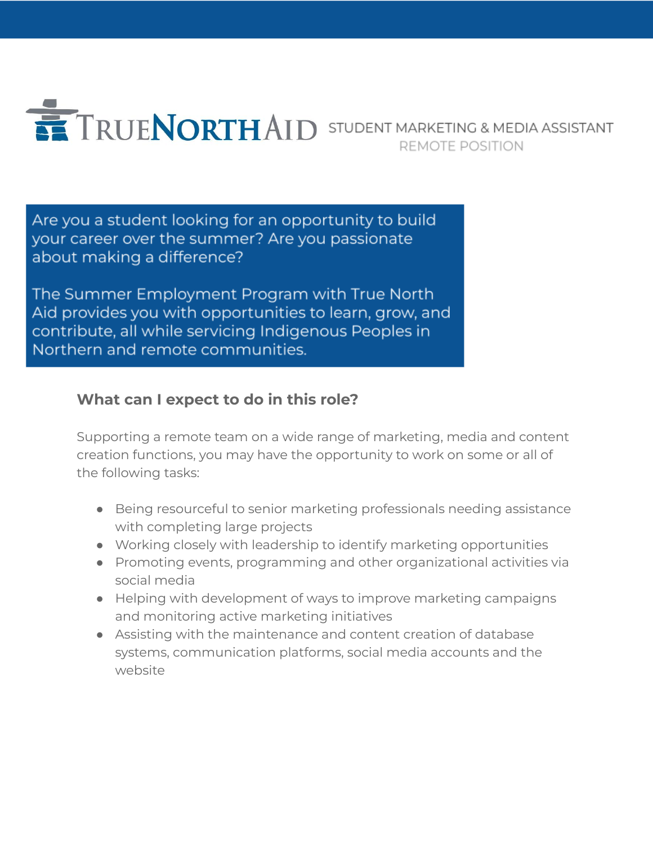

Are you a student looking for an opportunity to build your career over the summer? Are you passionate about making a difference?

The Summer Employment Program with True North Aid provides you with opportunities to learn, grow, and contribute, all while servicing Indigenous Peoples in Northern and remote communities.

# **What can I expect to do in this role?**

Supporting a remote team on a wide range of marketing, media and content creation functions, you may have the opportunity to work on some or all of the following tasks:

- Being resourceful to senior marketing professionals needing assistance with completing large projects
- Working closely with leadership to identify marketing opportunities
- Promoting events, programming and other organizational activities via social media
- Helping with development of ways to improve marketing campaigns and monitoring active marketing initiatives
- Assisting with the maintenance and content creation of database systems, communication platforms, social media accounts and the website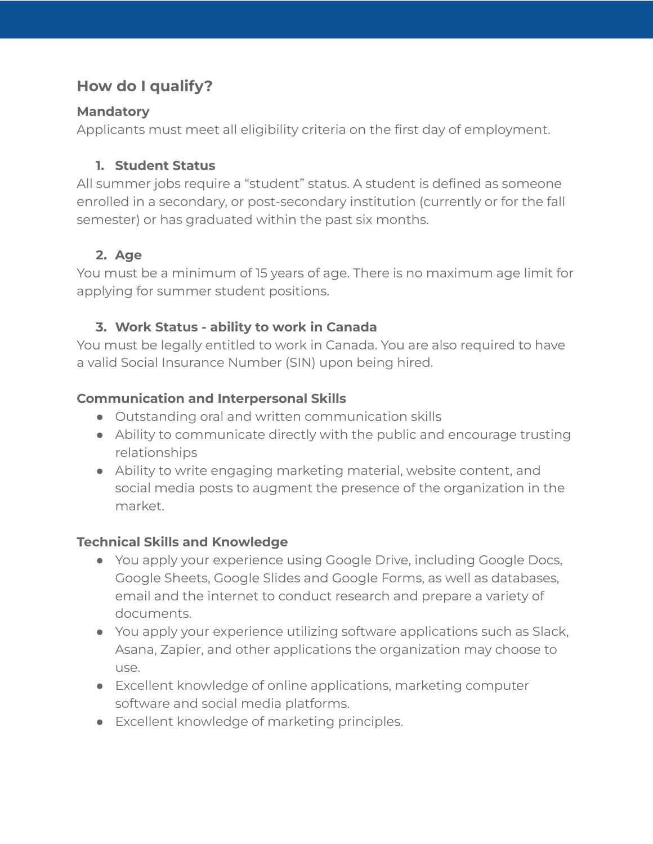# **How do I qualify?**

#### **Mandatory**

Applicants must meet all eligibility criteria on the first day of employment.

### **1. Student Status**

All summer jobs require a "student" status. A student is defined as someone enrolled in a secondary, or post-secondary institution (currently or for the fall semester) or has graduated within the past six months.

# **2. Age**

You must be a minimum of 15 years of age. There is no maximum age limit for applying for summer student positions.

## **3. Work Status - ability to work in Canada**

You must be legally entitled to work in Canada. You are also required to have a valid Social Insurance Number (SIN) upon being hired.

#### **Communication and Interpersonal Skills**

- Outstanding oral and written communication skills
- Ability to communicate directly with the public and encourage trusting relationships
- Ability to write engaging marketing material, website content, and social media posts to augment the presence of the organization in the market.

## **Technical Skills and Knowledge**

- You apply your experience using Google Drive, including Google Docs, Google Sheets, Google Slides and Google Forms, as well as databases, email and the internet to conduct research and prepare a variety of documents.
- You apply your experience utilizing software applications such as Slack, Asana, Zapier, and other applications the organization may choose to use.
- Excellent knowledge of online applications, marketing computer software and social media platforms.
- Excellent knowledge of marketing principles.